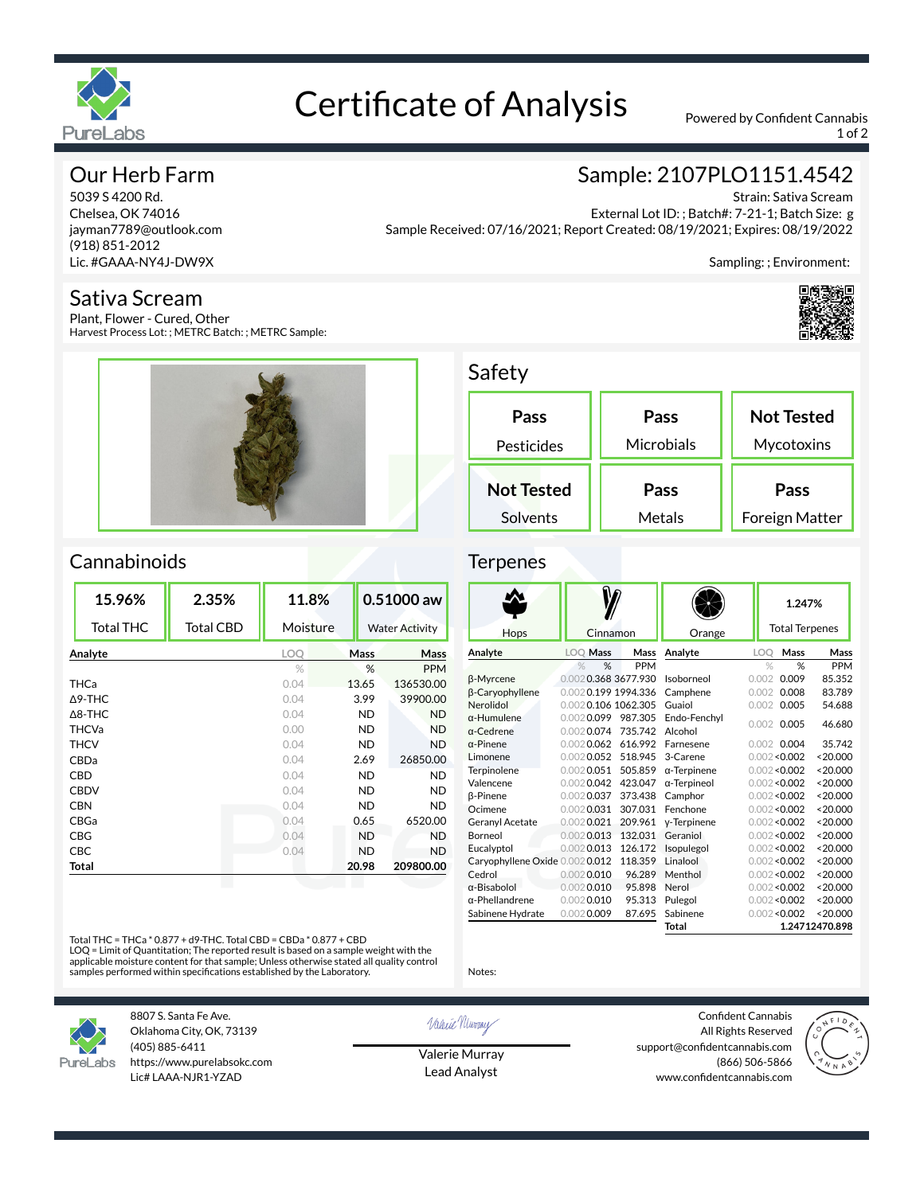

# Certificate of Analysis Powered by Confident Cannabis

1 of 2

# Our Herb Farm

5039 S 4200 Rd. Chelsea, OK 74016 jayman7789@outlook.com (918) 851-2012 Lic. #GAAA-NY4J-DW9X

#### Sativa Scream

Plant, Flower - Cured, Other Harvest Process Lot: ; METRC Batch: ; METRC Sample:



# Sample: 2107PLO1151.4542

Strain: Sativa Scream External Lot ID: ; Batch#: 7-21-1; Batch Size: g Sample Received: 07/16/2021; Report Created: 08/19/2021; Expires: 08/19/2022

Sampling: ; Environment:



### Safety

| Pass              | Pass       | <b>Not Tested</b> |  |
|-------------------|------------|-------------------|--|
| Pesticides        | Microbials | Mycotoxins        |  |
| <b>Not Tested</b> | Pass       | Pass              |  |
| Solvents          | Metals     | Foreign Matter    |  |

# Cannabinoids

| 15.96%            | 2.35%            | 11.8%      |                       | 0.51000 aw |
|-------------------|------------------|------------|-----------------------|------------|
| <b>Total THC</b>  | <b>Total CBD</b> | Moisture   | <b>Water Activity</b> |            |
| Analyte           |                  | <b>LOO</b> | Mass                  | Mass       |
|                   |                  | $\%$       | %                     | <b>PPM</b> |
| THCa              |                  | 0.04       | 13.65                 | 136530.00  |
| $\Delta$ 9-THC    |                  | 0.04       | 3.99                  | 39900.00   |
| $\triangle$ 8-THC |                  | 0.04       | ND                    | <b>ND</b>  |
| <b>THCVa</b>      |                  | 0.00       | <b>ND</b>             | <b>ND</b>  |
| <b>THCV</b>       |                  | 0.04       | <b>ND</b>             | <b>ND</b>  |
| CBDa              |                  | 0.04       | 2.69                  | 26850.00   |
| CBD               |                  | 0.04       | <b>ND</b>             | <b>ND</b>  |
| <b>CBDV</b>       |                  | 0.04       | <b>ND</b>             | <b>ND</b>  |
| <b>CBN</b>        |                  | 0.04       | ND                    | <b>ND</b>  |
| CBGa              |                  | 0.04       | 0.65                  | 6520.00    |
| CBG               |                  | 0.04       | <b>ND</b>             | <b>ND</b>  |
| CBC               |                  | 0.04       | <b>ND</b>             | <b>ND</b>  |
| Total             |                  |            | 20.98                 | 209800.00  |
|                   |                  |            |                       |            |

#### **Terpenes**

|                                |                     |            |                     |       | 1.247%                |                |
|--------------------------------|---------------------|------------|---------------------|-------|-----------------------|----------------|
| Hops                           | Cinnamon            |            | Orange              |       | <b>Total Terpenes</b> |                |
| Analyte                        | LOQ Mass            | Mass       | Analyte             | LOO   | Mass                  | Mass           |
|                                | %<br>%              | <b>PPM</b> |                     |       | %<br>$\%$             | PPM            |
| β-Myrcene                      | 0.0020.368 3677.930 |            | Isoborneol          | 0.002 | 0.009                 | 85.352         |
| <b>B-Caryophyllene</b>         | 0.0020.199 1994.336 |            | Camphene            | 0.002 | 0.008                 | 83.789         |
| Nerolidol                      | 0.0020.106 1062.305 |            | Guaiol              | 0.002 | 0.005                 | 54.688         |
| $\alpha$ -Humulene             | 0.0020.099          | 987.305    | Endo-Fenchvl        | 0.002 | 0.005                 | 46.680         |
| a-Cedrene                      | $0.002$ 0.074       | 735.742    | Alcohol             |       |                       |                |
| $\alpha$ -Pinene               | $0.002$ 0.062       | 616.992    | Farnesene           |       | $0.002$ 0.004         | 35.742         |
| Limonene                       | $0.002$ 0.052       | 518.945    | 3-Carene            |       | 0.002 < 0.002         | < 20.000       |
| Terpinolene                    | $0.002$ 0.051       | 505.859    | $\alpha$ -Terpinene |       | 0.002 < 0.002         | < 20.000       |
| Valencene                      | $0.002$ 0.042       | 423.047    | $\alpha$ -Terpineol |       | 0.002 < 0.002         | < 20.000       |
| <b>ß-Pinene</b>                | $0.002$ 0.037       | 373.438    | Camphor             |       | 0.002 < 0.002         | < 20.000       |
| Ocimene                        | $0.002$ 0.031       | 307.031    | Fenchone            |       | 0.002 < 0.002         | < 20.000       |
| <b>Geranyl Acetate</b>         | $0.002$ 0.021       | 209.961    | y-Terpinene         |       | 0.002 < 0.002         | < 20.000       |
| Borneol                        | $0.002$ 0.013       | 132.031    | Geraniol            |       | 0.002 < 0.002         | < 20.000       |
| Eucalyptol                     | $0.002$ 0.013       | 126.172    | Isopulegol          |       | 0.002 < 0.002         | < 20.000       |
| Caryophyllene Oxide 0.0020.012 |                     | 118.359    | Linalool            |       | 0.002 < 0.002         | < 20.000       |
| Cedrol                         | $0.002$ 0.010       | 96.289     | Menthol             |       | 0.002 < 0.002         | < 20.000       |
| $\alpha$ -Bisabolol            | $0.002$ 0.010       | 95.898     | Nerol               |       | 0.002 < 0.002         | < 20.000       |
| $\alpha$ -Phellandrene         | $0.002$ 0.010       | 95.313     | Pulegol             |       | 0.002 < 0.002         | < 20.000       |
| Sabinene Hydrate               | $0.002$ 0.009       | 87.695     | Sabinene            |       | 0.002 < 0.002         | < 20.000       |
|                                |                     |            | Total               |       |                       | 1.24712470.898 |

Total THC = THCa \* 0.877 + d9-THC. Total CBD = CBDa \* 0.877 + CBD

LOQ = Limit of Quantitation; The reported result is based on a sample weight with the<br>applicable moisture content for that sample; Unless otherwise stated all quality control<br>samples performed within specifications establi



8807 S. Santa Fe Ave. Oklahoma City, OK, 73139 (405) 885-6411 https://www.purelabsokc.com Lic# LAAA-NJR1-YZAD

Valerie Newmay

Notes:

Valerie Murray Lead Analyst

Confident Cannabis All Rights Reserved support@confidentcannabis.com (866) 506-5866 www.confidentcannabis.com